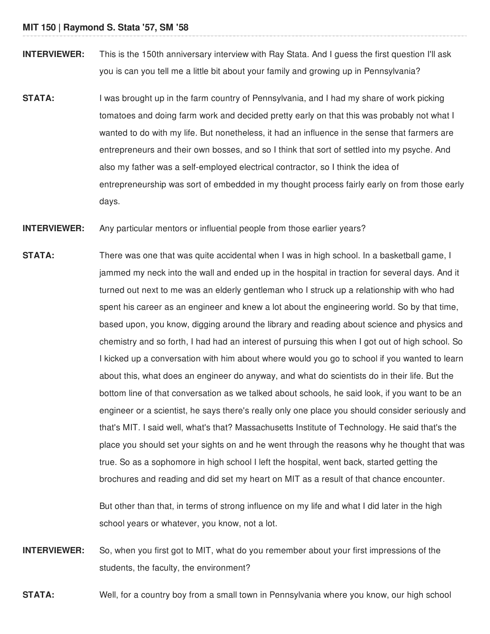- **INTERVIEWER:** This is the 150th anniversary interview with Ray Stata. And I quess the first question I'll ask you is can you tell me a little bit about your family and growing up in Pennsylvania?
- **STATA:** I was brought up in the farm country of Pennsylvania, and I had my share of work picking tomatoes and doing farm work and decided pretty early on that this was probably not what I wanted to do with my life. But nonetheless, it had an influence in the sense that farmers are entrepreneurs and their own bosses, and so I think that sort of settled into my psyche. And also my father was a self-employed electrical contractor, so I think the idea of entrepreneurship was sort of embedded in my thought process fairly early on from those early days.
- **INTERVIEWER:** Any particular mentors or influential people from those earlier years?
- **STATA:** There was one that was quite accidental when I was in high school. In a basketball game, I jammed my neck into the wall and ended up in the hospital in traction for several days. And it turned out next to me was an elderly gentleman who I struck up a relationship with who had spent his career as an engineer and knew a lot about the engineering world. So by that time, based upon, you know, digging around the library and reading about science and physics and chemistry and so forth, I had had an interest of pursuing this when I got out of high school. So I kicked up a conversation with him about where would you go to school if you wanted to learn about this, what does an engineer do anyway, and what do scientists do in their life. But the bottom line of that conversation as we talked about schools, he said look, if you want to be an engineer or a scientist, he says there's really only one place you should consider seriously and that's MIT. I said well, what's that? Massachusetts Institute of Technology. He said that's the place you should set your sights on and he went through the reasons why he thought that was true. So as a sophomore in high school I left the hospital, went back, started getting the brochures and reading and did set my heart on MIT as a result of that chance encounter.

But other than that, in terms of strong influence on my life and what I did later in the high school years or whatever, you know, not a lot.

**INTERVIEWER:** So, when you first got to MIT, what do you remember about your first impressions of the students, the faculty, the environment?

**STATA:** Well, for a country boy from a small town in Pennsylvania where you know, our high school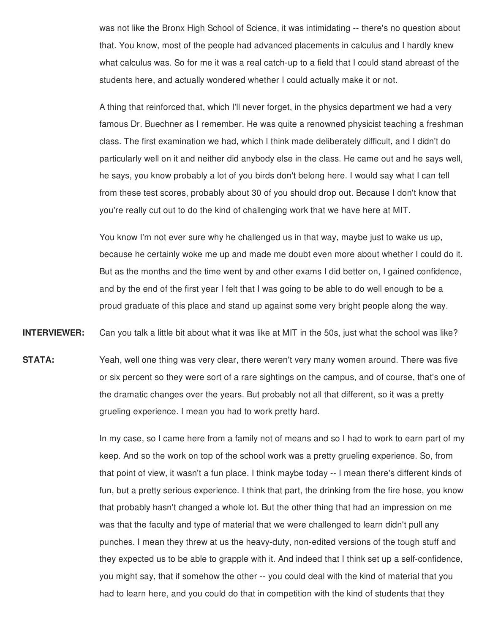was not like the Bronx High School of Science, it was intimidating -- there's no question about that. You know, most of the people had advanced placements in calculus and I hardly knew what calculus was. So for me it was a real catch-up to a field that I could stand abreast of the students here, and actually wondered whether I could actually make it or not.

A thing that reinforced that, which I'll never forget, in the physics department we had a very famous Dr. Buechner as I remember. He was quite a renowned physicist teaching a freshman class. The first examination we had, which I think made deliberately difficult, and I didn't do particularly well on it and neither did anybody else in the class. He came out and he says well, he says, you know probably a lot of you birds don't belong here. I would say what I can tell from these test scores, probably about 30 of you should drop out. Because I don't know that you're really cut out to do the kind of challenging work that we have here at MIT.

You know I'm not ever sure why he challenged us in that way, maybe just to wake us up, because he certainly woke me up and made me doubt even more about whether I could do it. But as the months and the time went by and other exams I did better on, I gained confidence, and by the end of the first year I felt that I was going to be able to do well enough to be a proud graduate of this place and stand up against some very bright people along the way.

**INTERVIEWER:** Can you talk a little bit about what it was like at MIT in the 50s, just what the school was like?

**STATA:** Yeah, well one thing was very clear, there weren't very many women around. There was five or six percent so they were sort of a rare sightings on the campus, and of course, that's one of the dramatic changes over the years. But probably not all that different, so it was a pretty grueling experience. I mean you had to work pretty hard.

> In my case, so I came here from a family not of means and so I had to work to earn part of my keep. And so the work on top of the school work was a pretty grueling experience. So, from that point of view, it wasn't a fun place. I think maybe today -- I mean there's different kinds of fun, but a pretty serious experience. I think that part, the drinking from the fire hose, you know that probably hasn't changed a whole lot. But the other thing that had an impression on me was that the faculty and type of material that we were challenged to learn didn't pull any punches. I mean they threw at us the heavy-duty, non-edited versions of the tough stuff and they expected us to be able to grapple with it. And indeed that I think set up a self-confidence, you might say, that if somehow the other -- you could deal with the kind of material that you had to learn here, and you could do that in competition with the kind of students that they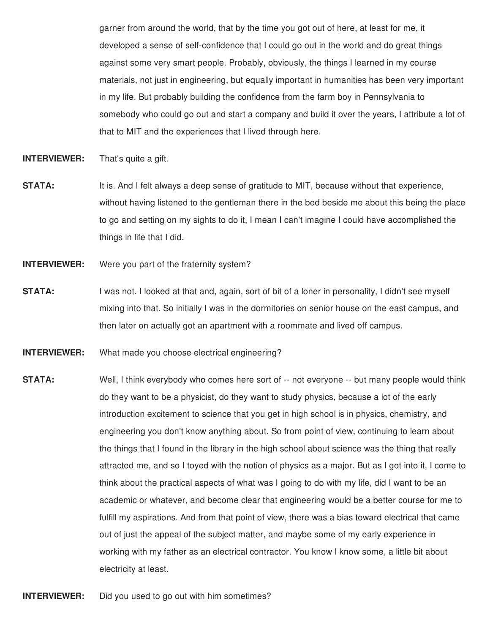garner from around the world, that by the time you got out of here, at least for me, it developed a sense of self-confidence that I could go out in the world and do great things against some very smart people. Probably, obviously, the things I learned in my course materials, not just in engineering, but equally important in humanities has been very important in my life. But probably building the confidence from the farm boy in Pennsylvania to somebody who could go out and start a company and build it over the years, I attribute a lot of that to MIT and the experiences that I lived through here.

**INTERVIEWER:** That's quite a gift.

- **STATA:** It is. And I felt always a deep sense of gratitude to MIT, because without that experience, without having listened to the gentleman there in the bed beside me about this being the place to go and setting on my sights to do it, I mean I can't imagine I could have accomplished the things in life that I did.
- **INTERVIEWER:** Were you part of the fraternity system?
- **STATA:** I was not. I looked at that and, again, sort of bit of a loner in personality, I didn't see myself mixing into that. So initially I was in the dormitories on senior house on the east campus, and then later on actually got an apartment with a roommate and lived off campus.
- **INTERVIEWER:** What made you choose electrical engineering?
- **STATA:** Well, I think everybody who comes here sort of -- not everyone -- but many people would think do they want to be a physicist, do they want to study physics, because a lot of the early introduction excitement to science that you get in high school is in physics, chemistry, and engineering you don't know anything about. So from point of view, continuing to learn about the things that I found in the library in the high school about science was the thing that really attracted me, and so I toyed with the notion of physics as a major. But as I got into it, I come to think about the practical aspects of what was I going to do with my life, did I want to be an academic or whatever, and become clear that engineering would be a better course for me to fulfill my aspirations. And from that point of view, there was a bias toward electrical that came out of just the appeal of the subject matter, and maybe some of my early experience in working with my father as an electrical contractor. You know I know some, a little bit about electricity at least.

**INTERVIEWER:** Did you used to go out with him sometimes?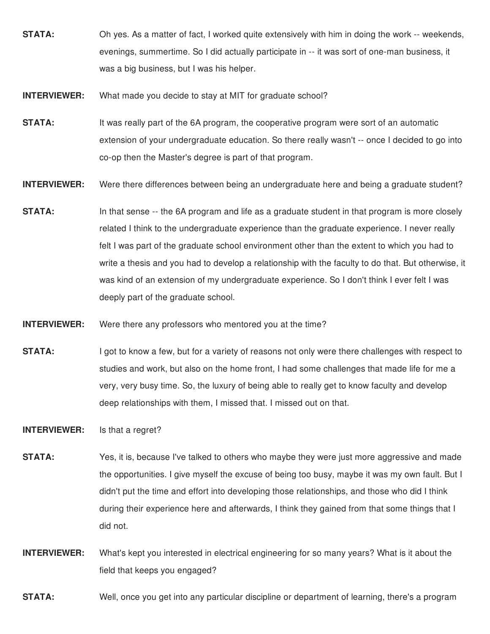- **STATA:** Oh yes. As a matter of fact, I worked quite extensively with him in doing the work -- weekends, evenings, summertime. So I did actually participate in -- it was sort of one-man business, it was a big business, but I was his helper.
- **INTERVIEWER:** What made you decide to stay at MIT for graduate school?
- **STATA:** It was really part of the 6A program, the cooperative program were sort of an automatic extension of your undergraduate education. So there really wasn't -- once I decided to go into co-op then the Master's degree is part of that program.
- **INTERVIEWER:** Were there differences between being an undergraduate here and being a graduate student?
- **STATA:** In that sense -- the 6A program and life as a graduate student in that program is more closely related I think to the undergraduate experience than the graduate experience. I never really felt I was part of the graduate school environment other than the extent to which you had to write a thesis and you had to develop a relationship with the faculty to do that. But otherwise, it was kind of an extension of my undergraduate experience. So I don't think I ever felt I was deeply part of the graduate school.
- **INTERVIEWER:** Were there any professors who mentored you at the time?
- **STATA:** I got to know a few, but for a variety of reasons not only were there challenges with respect to studies and work, but also on the home front, I had some challenges that made life for me a very, very busy time. So, the luxury of being able to really get to know faculty and develop deep relationships with them, I missed that. I missed out on that.

**INTERVIEWER:** Is that a regret?

- **STATA:** Yes, it is, because I've talked to others who maybe they were just more aggressive and made the opportunities. I give myself the excuse of being too busy, maybe it was my own fault. But I didn't put the time and effort into developing those relationships, and those who did I think during their experience here and afterwards, I think they gained from that some things that I did not.
- **INTERVIEWER:** What's kept you interested in electrical engineering for so many years? What is it about the field that keeps you engaged?

**STATA:** Well, once you get into any particular discipline or department of learning, there's a program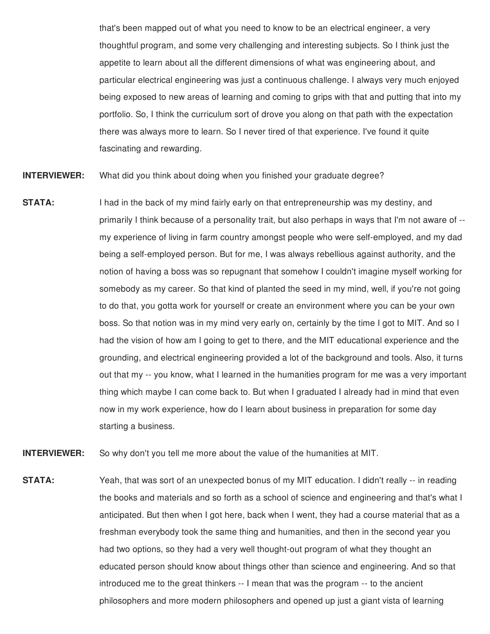that's been mapped out of what you need to know to be an electrical engineer, a very thoughtful program, and some very challenging and interesting subjects. So I think just the appetite to learn about all the different dimensions of what was engineering about, and particular electrical engineering was just a continuous challenge. I always very much enjoyed being exposed to new areas of learning and coming to grips with that and putting that into my portfolio. So, I think the curriculum sort of drove you along on that path with the expectation there was always more to learn. So I never tired of that experience. I've found it quite fascinating and rewarding.

**INTERVIEWER:** What did you think about doing when you finished your graduate degree?

**STATA:** I had in the back of my mind fairly early on that entrepreneurship was my destiny, and primarily I think because of a personality trait, but also perhaps in ways that I'm not aware of - my experience of living in farm country amongst people who were self-employed, and my dad being a self-employed person. But for me, I was always rebellious against authority, and the notion of having a boss was so repugnant that somehow I couldn't imagine myself working for somebody as my career. So that kind of planted the seed in my mind, well, if you're not going to do that, you gotta work for yourself or create an environment where you can be your own boss. So that notion was in my mind very early on, certainly by the time I got to MIT. And so I had the vision of how am I going to get to there, and the MIT educational experience and the grounding, and electrical engineering provided a lot of the background and tools. Also, it turns out that my -- you know, what I learned in the humanities program for me was a very important thing which maybe I can come back to. But when I graduated I already had in mind that even now in my work experience, how do I learn about business in preparation for some day starting a business.

**INTERVIEWER:** So why don't you tell me more about the value of the humanities at MIT.

**STATA:** Yeah, that was sort of an unexpected bonus of my MIT education. I didn't really -- in reading the books and materials and so forth as a school of science and engineering and that's what I anticipated. But then when I got here, back when I went, they had a course material that as a freshman everybody took the same thing and humanities, and then in the second year you had two options, so they had a very well thought-out program of what they thought an educated person should know about things other than science and engineering. And so that introduced me to the great thinkers -- I mean that was the program -- to the ancient philosophers and more modern philosophers and opened up just a giant vista of learning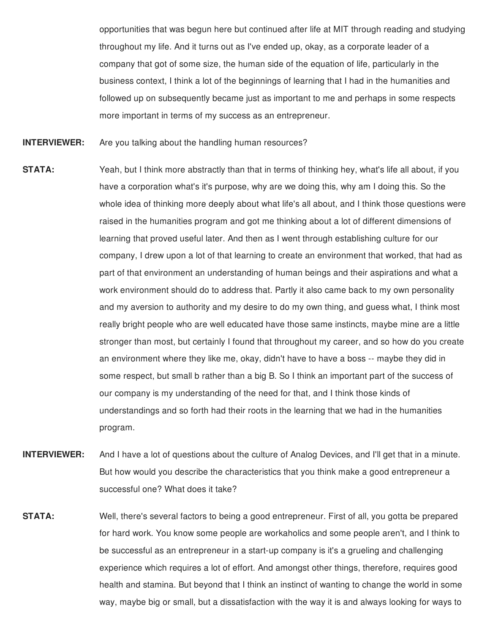opportunities that was begun here but continued after life at MIT through reading and studying throughout my life. And it turns out as I've ended up, okay, as a corporate leader of a company that got of some size, the human side of the equation of life, particularly in the business context, I think a lot of the beginnings of learning that I had in the humanities and followed up on subsequently became just as important to me and perhaps in some respects more important in terms of my success as an entrepreneur.

- **INTERVIEWER:** Are you talking about the handling human resources?
- **STATA:** Yeah, but I think more abstractly than that in terms of thinking hey, what's life all about, if you have a corporation what's it's purpose, why are we doing this, why am I doing this. So the whole idea of thinking more deeply about what life's all about, and I think those questions were raised in the humanities program and got me thinking about a lot of different dimensions of learning that proved useful later. And then as I went through establishing culture for our company, I drew upon a lot of that learning to create an environment that worked, that had as part of that environment an understanding of human beings and their aspirations and what a work environment should do to address that. Partly it also came back to my own personality and my aversion to authority and my desire to do my own thing, and guess what, I think most really bright people who are well educated have those same instincts, maybe mine are a little stronger than most, but certainly I found that throughout my career, and so how do you create an environment where they like me, okay, didn't have to have a boss -- maybe they did in some respect, but small b rather than a big B. So I think an important part of the success of our company is my understanding of the need for that, and I think those kinds of understandings and so forth had their roots in the learning that we had in the humanities program.
- **INTERVIEWER:** And I have a lot of questions about the culture of Analog Devices, and I'll get that in a minute. But how would you describe the characteristics that you think make a good entrepreneur a successful one? What does it take?
- **STATA:** Well, there's several factors to being a good entrepreneur. First of all, you gotta be prepared for hard work. You know some people are workaholics and some people aren't, and I think to be successful as an entrepreneur in a start-up company is it's a grueling and challenging experience which requires a lot of effort. And amongst other things, therefore, requires good health and stamina. But beyond that I think an instinct of wanting to change the world in some way, maybe big or small, but a dissatisfaction with the way it is and always looking for ways to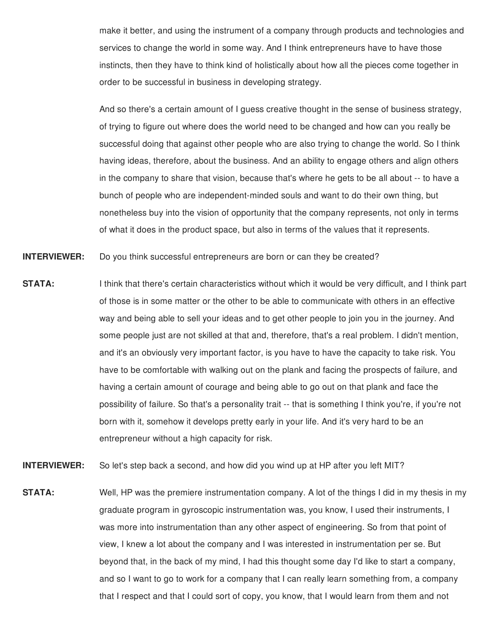make it better, and using the instrument of a company through products and technologies and services to change the world in some way. And I think entrepreneurs have to have those instincts, then they have to think kind of holistically about how all the pieces come together in order to be successful in business in developing strategy.

And so there's a certain amount of I guess creative thought in the sense of business strategy, of trying to figure out where does the world need to be changed and how can you really be successful doing that against other people who are also trying to change the world. So I think having ideas, therefore, about the business. And an ability to engage others and align others in the company to share that vision, because that's where he gets to be all about -- to have a bunch of people who are independent-minded souls and want to do their own thing, but nonetheless buy into the vision of opportunity that the company represents, not only in terms of what it does in the product space, but also in terms of the values that it represents.

**INTERVIEWER:** Do you think successful entrepreneurs are born or can they be created?

- **STATA:** I think that there's certain characteristics without which it would be very difficult, and I think part of those is in some matter or the other to be able to communicate with others in an effective way and being able to sell your ideas and to get other people to join you in the journey. And some people just are not skilled at that and, therefore, that's a real problem. I didn't mention, and it's an obviously very important factor, is you have to have the capacity to take risk. You have to be comfortable with walking out on the plank and facing the prospects of failure, and having a certain amount of courage and being able to go out on that plank and face the possibility of failure. So that's a personality trait -- that is something I think you're, if you're not born with it, somehow it develops pretty early in your life. And it's very hard to be an entrepreneur without a high capacity for risk.
- **INTERVIEWER:** So let's step back a second, and how did you wind up at HP after you left MIT?
- **STATA:** Well, HP was the premiere instrumentation company. A lot of the things I did in my thesis in my graduate program in gyroscopic instrumentation was, you know, I used their instruments, I was more into instrumentation than any other aspect of engineering. So from that point of view, I knew a lot about the company and I was interested in instrumentation per se. But beyond that, in the back of my mind, I had this thought some day I'd like to start a company, and so I want to go to work for a company that I can really learn something from, a company that I respect and that I could sort of copy, you know, that I would learn from them and not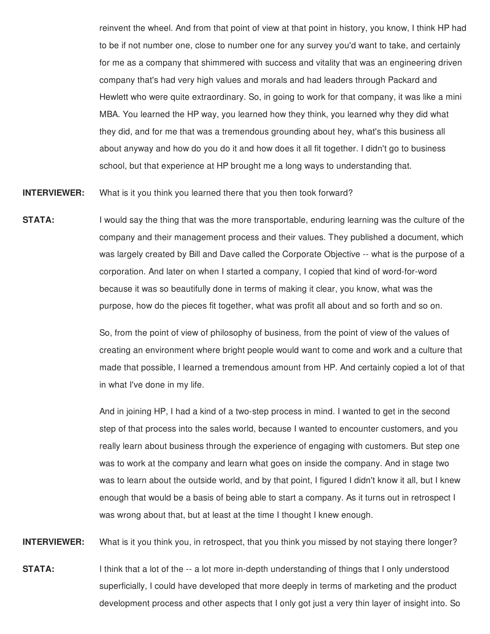reinvent the wheel. And from that point of view at that point in history, you know, I think HP had to be if not number one, close to number one for any survey you'd want to take, and certainly for me as a company that shimmered with success and vitality that was an engineering driven company that's had very high values and morals and had leaders through Packard and Hewlett who were quite extraordinary. So, in going to work for that company, it was like a mini MBA. You learned the HP way, you learned how they think, you learned why they did what they did, and for me that was a tremendous grounding about hey, what's this business all about anyway and how do you do it and how does it all fit together. I didn't go to business school, but that experience at HP brought me a long ways to understanding that.

**INTERVIEWER:** What is it you think you learned there that you then took forward?

**STATA:** I would say the thing that was the more transportable, enduring learning was the culture of the company and their management process and their values. They published a document, which was largely created by Bill and Dave called the Corporate Objective -- what is the purpose of a corporation. And later on when I started a company, I copied that kind of word-for-word because it was so beautifully done in terms of making it clear, you know, what was the purpose, how do the pieces fit together, what was profit all about and so forth and so on.

> So, from the point of view of philosophy of business, from the point of view of the values of creating an environment where bright people would want to come and work and a culture that made that possible, I learned a tremendous amount from HP. And certainly copied a lot of that in what I've done in my life.

And in joining HP, I had a kind of a two-step process in mind. I wanted to get in the second step of that process into the sales world, because I wanted to encounter customers, and you really learn about business through the experience of engaging with customers. But step one was to work at the company and learn what goes on inside the company. And in stage two was to learn about the outside world, and by that point, I figured I didn't know it all, but I knew enough that would be a basis of being able to start a company. As it turns out in retrospect I was wrong about that, but at least at the time I thought I knew enough.

**INTERVIEWER:** What is it you think you, in retrospect, that you think you missed by not staying there longer?

**STATA:** I think that a lot of the -- a lot more in-depth understanding of things that I only understood superficially, I could have developed that more deeply in terms of marketing and the product development process and other aspects that I only got just a very thin layer of insight into. So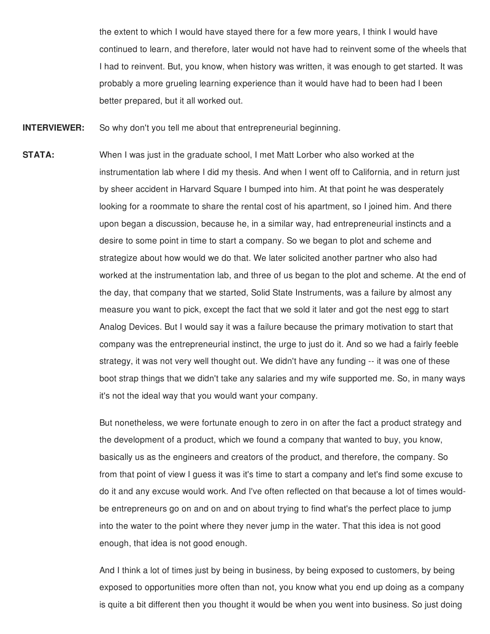the extent to which I would have stayed there for a few more years, I think I would have continued to learn, and therefore, later would not have had to reinvent some of the wheels that I had to reinvent. But, you know, when history was written, it was enough to get started. It was probably a more grueling learning experience than it would have had to been had I been better prepared, but it all worked out.

**INTERVIEWER:** So why don't you tell me about that entrepreneurial beginning.

**STATA:** When I was just in the graduate school, I met Matt Lorber who also worked at the instrumentation lab where I did my thesis. And when I went off to California, and in return just by sheer accident in Harvard Square I bumped into him. At that point he was desperately looking for a roommate to share the rental cost of his apartment, so I joined him. And there upon began a discussion, because he, in a similar way, had entrepreneurial instincts and a desire to some point in time to start a company. So we began to plot and scheme and strategize about how would we do that. We later solicited another partner who also had worked at the instrumentation lab, and three of us began to the plot and scheme. At the end of the day, that company that we started, Solid State Instruments, was a failure by almost any measure you want to pick, except the fact that we sold it later and got the nest egg to start Analog Devices. But I would say it was a failure because the primary motivation to start that company was the entrepreneurial instinct, the urge to just do it. And so we had a fairly feeble strategy, it was not very well thought out. We didn't have any funding -- it was one of these boot strap things that we didn't take any salaries and my wife supported me. So, in many ways it's not the ideal way that you would want your company.

> But nonetheless, we were fortunate enough to zero in on after the fact a product strategy and the development of a product, which we found a company that wanted to buy, you know, basically us as the engineers and creators of the product, and therefore, the company. So from that point of view I guess it was it's time to start a company and let's find some excuse to do it and any excuse would work. And I've often reflected on that because a lot of times wouldbe entrepreneurs go on and on and on about trying to find what's the perfect place to jump into the water to the point where they never jump in the water. That this idea is not good enough, that idea is not good enough.

> And I think a lot of times just by being in business, by being exposed to customers, by being exposed to opportunities more often than not, you know what you end up doing as a company is quite a bit different then you thought it would be when you went into business. So just doing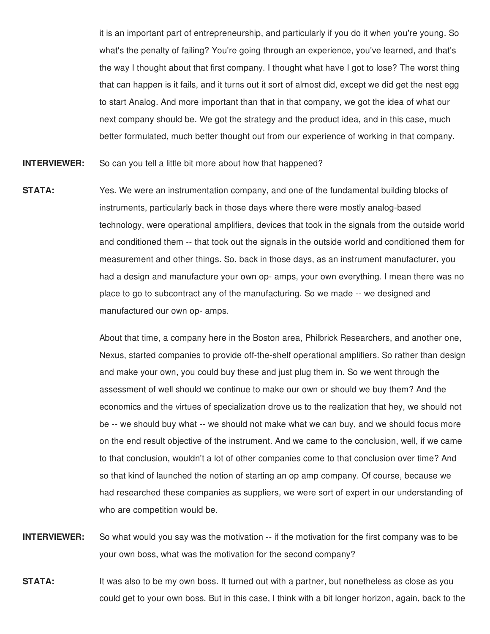it is an important part of entrepreneurship, and particularly if you do it when you're young. So what's the penalty of failing? You're going through an experience, you've learned, and that's the way I thought about that first company. I thought what have I got to lose? The worst thing that can happen is it fails, and it turns out it sort of almost did, except we did get the nest egg to start Analog. And more important than that in that company, we got the idea of what our next company should be. We got the strategy and the product idea, and in this case, much better formulated, much better thought out from our experience of working in that company.

**INTERVIEWER:** So can you tell a little bit more about how that happened?

**STATA:** Yes. We were an instrumentation company, and one of the fundamental building blocks of instruments, particularly back in those days where there were mostly analog-based technology, were operational amplifiers, devices that took in the signals from the outside world and conditioned them -- that took out the signals in the outside world and conditioned them for measurement and other things. So, back in those days, as an instrument manufacturer, you had a design and manufacture your own op- amps, your own everything. I mean there was no place to go to subcontract any of the manufacturing. So we made -- we designed and manufactured our own op- amps.

> About that time, a company here in the Boston area, Philbrick Researchers, and another one, Nexus, started companies to provide off-the-shelf operational amplifiers. So rather than design and make your own, you could buy these and just plug them in. So we went through the assessment of well should we continue to make our own or should we buy them? And the economics and the virtues of specialization drove us to the realization that hey, we should not be -- we should buy what -- we should not make what we can buy, and we should focus more on the end result objective of the instrument. And we came to the conclusion, well, if we came to that conclusion, wouldn't a lot of other companies come to that conclusion over time? And so that kind of launched the notion of starting an op amp company. Of course, because we had researched these companies as suppliers, we were sort of expert in our understanding of who are competition would be.

**INTERVIEWER:** So what would you say was the motivation -- if the motivation for the first company was to be your own boss, what was the motivation for the second company?

**STATA:** It was also to be my own boss. It turned out with a partner, but nonetheless as close as you could get to your own boss. But in this case, I think with a bit longer horizon, again, back to the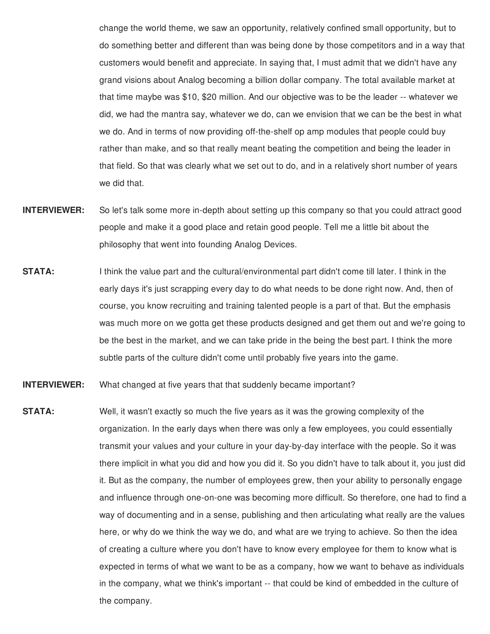change the world theme, we saw an opportunity, relatively confined small opportunity, but to do something better and different than was being done by those competitors and in a way that customers would benefit and appreciate. In saying that, I must admit that we didn't have any grand visions about Analog becoming a billion dollar company. The total available market at that time maybe was \$10, \$20 million. And our objective was to be the leader -- whatever we did, we had the mantra say, whatever we do, can we envision that we can be the best in what we do. And in terms of now providing off-the-shelf op amp modules that people could buy rather than make, and so that really meant beating the competition and being the leader in that field. So that was clearly what we set out to do, and in a relatively short number of years we did that.

- **INTERVIEWER:** So let's talk some more in-depth about setting up this company so that you could attract good people and make it a good place and retain good people. Tell me a little bit about the philosophy that went into founding Analog Devices.
- **STATA:** I think the value part and the cultural/environmental part didn't come till later. I think in the early days it's just scrapping every day to do what needs to be done right now. And, then of course, you know recruiting and training talented people is a part of that. But the emphasis was much more on we gotta get these products designed and get them out and we're going to be the best in the market, and we can take pride in the being the best part. I think the more subtle parts of the culture didn't come until probably five years into the game.
- **INTERVIEWER:** What changed at five years that that suddenly became important?
- **STATA:** Well, it wasn't exactly so much the five years as it was the growing complexity of the organization. In the early days when there was only a few employees, you could essentially transmit your values and your culture in your day-by-day interface with the people. So it was there implicit in what you did and how you did it. So you didn't have to talk about it, you just did it. But as the company, the number of employees grew, then your ability to personally engage and influence through one-on-one was becoming more difficult. So therefore, one had to find a way of documenting and in a sense, publishing and then articulating what really are the values here, or why do we think the way we do, and what are we trying to achieve. So then the idea of creating a culture where you don't have to know every employee for them to know what is expected in terms of what we want to be as a company, how we want to behave as individuals in the company, what we think's important -- that could be kind of embedded in the culture of the company.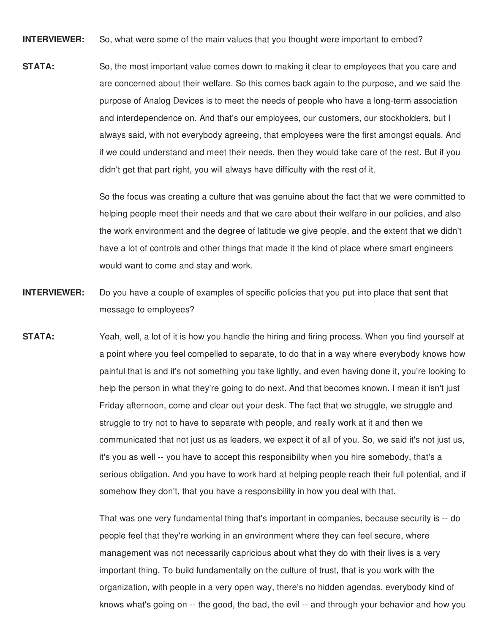**INTERVIEWER:** So, what were some of the main values that you thought were important to embed?

**STATA:** So, the most important value comes down to making it clear to employees that you care and are concerned about their welfare. So this comes back again to the purpose, and we said the purpose of Analog Devices is to meet the needs of people who have a long-term association and interdependence on. And that's our employees, our customers, our stockholders, but I always said, with not everybody agreeing, that employees were the first amongst equals. And if we could understand and meet their needs, then they would take care of the rest. But if you didn't get that part right, you will always have difficulty with the rest of it.

> So the focus was creating a culture that was genuine about the fact that we were committed to helping people meet their needs and that we care about their welfare in our policies, and also the work environment and the degree of latitude we give people, and the extent that we didn't have a lot of controls and other things that made it the kind of place where smart engineers would want to come and stay and work.

- **INTERVIEWER:** Do you have a couple of examples of specific policies that you put into place that sent that message to employees?
- **STATA:** Yeah, well, a lot of it is how you handle the hiring and firing process. When you find yourself at a point where you feel compelled to separate, to do that in a way where everybody knows how painful that is and it's not something you take lightly, and even having done it, you're looking to help the person in what they're going to do next. And that becomes known. I mean it isn't just Friday afternoon, come and clear out your desk. The fact that we struggle, we struggle and struggle to try not to have to separate with people, and really work at it and then we communicated that not just us as leaders, we expect it of all of you. So, we said it's not just us, it's you as well -- you have to accept this responsibility when you hire somebody, that's a serious obligation. And you have to work hard at helping people reach their full potential, and if somehow they don't, that you have a responsibility in how you deal with that.

That was one very fundamental thing that's important in companies, because security is -- do people feel that they're working in an environment where they can feel secure, where management was not necessarily capricious about what they do with their lives is a very important thing. To build fundamentally on the culture of trust, that is you work with the organization, with people in a very open way, there's no hidden agendas, everybody kind of knows what's going on -- the good, the bad, the evil -- and through your behavior and how you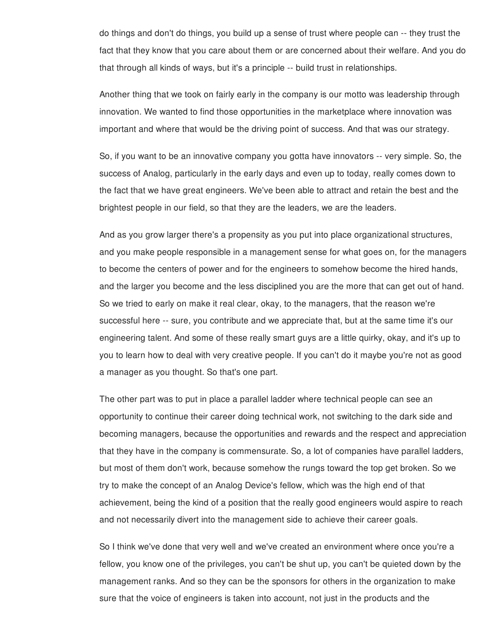do things and don't do things, you build up a sense of trust where people can -- they trust the fact that they know that you care about them or are concerned about their welfare. And you do that through all kinds of ways, but it's a principle -- build trust in relationships.

Another thing that we took on fairly early in the company is our motto was leadership through innovation. We wanted to find those opportunities in the marketplace where innovation was important and where that would be the driving point of success. And that was our strategy.

So, if you want to be an innovative company you gotta have innovators -- very simple. So, the success of Analog, particularly in the early days and even up to today, really comes down to the fact that we have great engineers. We've been able to attract and retain the best and the brightest people in our field, so that they are the leaders, we are the leaders.

And as you grow larger there's a propensity as you put into place organizational structures, and you make people responsible in a management sense for what goes on, for the managers to become the centers of power and for the engineers to somehow become the hired hands, and the larger you become and the less disciplined you are the more that can get out of hand. So we tried to early on make it real clear, okay, to the managers, that the reason we're successful here -- sure, you contribute and we appreciate that, but at the same time it's our engineering talent. And some of these really smart guys are a little quirky, okay, and it's up to you to learn how to deal with very creative people. If you can't do it maybe you're not as good a manager as you thought. So that's one part.

The other part was to put in place a parallel ladder where technical people can see an opportunity to continue their career doing technical work, not switching to the dark side and becoming managers, because the opportunities and rewards and the respect and appreciation that they have in the company is commensurate. So, a lot of companies have parallel ladders, but most of them don't work, because somehow the rungs toward the top get broken. So we try to make the concept of an Analog Device's fellow, which was the high end of that achievement, being the kind of a position that the really good engineers would aspire to reach and not necessarily divert into the management side to achieve their career goals.

So I think we've done that very well and we've created an environment where once you're a fellow, you know one of the privileges, you can't be shut up, you can't be quieted down by the management ranks. And so they can be the sponsors for others in the organization to make sure that the voice of engineers is taken into account, not just in the products and the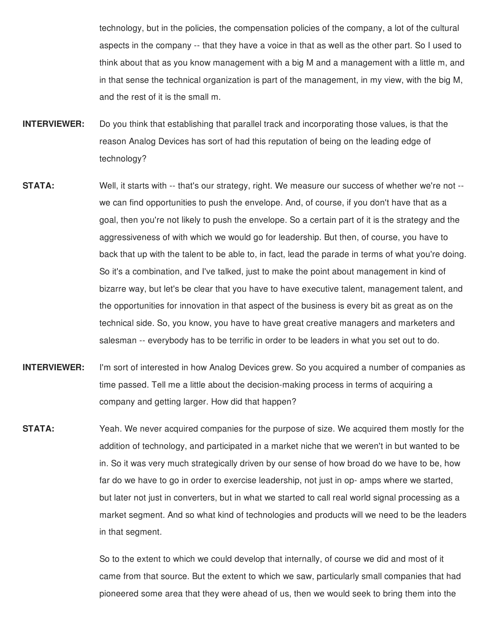technology, but in the policies, the compensation policies of the company, a lot of the cultural aspects in the company -- that they have a voice in that as well as the other part. So I used to think about that as you know management with a big M and a management with a little m, and in that sense the technical organization is part of the management, in my view, with the big M, and the rest of it is the small m.

- **INTERVIEWER:** Do you think that establishing that parallel track and incorporating those values, is that the reason Analog Devices has sort of had this reputation of being on the leading edge of technology?
- **STATA:** Well, it starts with -- that's our strategy, right. We measure our success of whether we're not -we can find opportunities to push the envelope. And, of course, if you don't have that as a goal, then you're not likely to push the envelope. So a certain part of it is the strategy and the aggressiveness of with which we would go for leadership. But then, of course, you have to back that up with the talent to be able to, in fact, lead the parade in terms of what you're doing. So it's a combination, and I've talked, just to make the point about management in kind of bizarre way, but let's be clear that you have to have executive talent, management talent, and the opportunities for innovation in that aspect of the business is every bit as great as on the technical side. So, you know, you have to have great creative managers and marketers and salesman -- everybody has to be terrific in order to be leaders in what you set out to do.
- **INTERVIEWER:** I'm sort of interested in how Analog Devices grew. So you acquired a number of companies as time passed. Tell me a little about the decision-making process in terms of acquiring a company and getting larger. How did that happen?
- **STATA:** Yeah. We never acquired companies for the purpose of size. We acquired them mostly for the addition of technology, and participated in a market niche that we weren't in but wanted to be in. So it was very much strategically driven by our sense of how broad do we have to be, how far do we have to go in order to exercise leadership, not just in op- amps where we started, but later not just in converters, but in what we started to call real world signal processing as a market segment. And so what kind of technologies and products will we need to be the leaders in that segment.

So to the extent to which we could develop that internally, of course we did and most of it came from that source. But the extent to which we saw, particularly small companies that had pioneered some area that they were ahead of us, then we would seek to bring them into the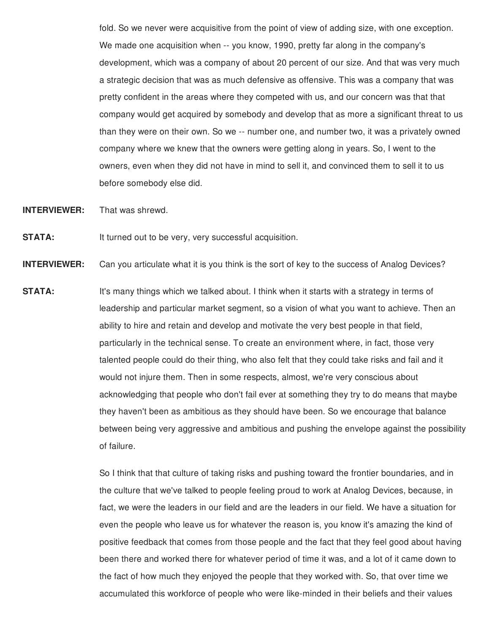fold. So we never were acquisitive from the point of view of adding size, with one exception. We made one acquisition when -- you know, 1990, pretty far along in the company's development, which was a company of about 20 percent of our size. And that was very much a strategic decision that was as much defensive as offensive. This was a company that was pretty confident in the areas where they competed with us, and our concern was that that company would get acquired by somebody and develop that as more a significant threat to us than they were on their own. So we -- number one, and number two, it was a privately owned company where we knew that the owners were getting along in years. So, I went to the owners, even when they did not have in mind to sell it, and convinced them to sell it to us before somebody else did.

**INTERVIEWER:** That was shrewd.

**STATA:** It turned out to be very, very successful acquisition.

**INTERVIEWER:** Can you articulate what it is you think is the sort of key to the success of Analog Devices?

**STATA:** It's many things which we talked about. I think when it starts with a strategy in terms of leadership and particular market segment, so a vision of what you want to achieve. Then an ability to hire and retain and develop and motivate the very best people in that field, particularly in the technical sense. To create an environment where, in fact, those very talented people could do their thing, who also felt that they could take risks and fail and it would not injure them. Then in some respects, almost, we're very conscious about acknowledging that people who don't fail ever at something they try to do means that maybe they haven't been as ambitious as they should have been. So we encourage that balance between being very aggressive and ambitious and pushing the envelope against the possibility of failure.

> So I think that that culture of taking risks and pushing toward the frontier boundaries, and in the culture that we've talked to people feeling proud to work at Analog Devices, because, in fact, we were the leaders in our field and are the leaders in our field. We have a situation for even the people who leave us for whatever the reason is, you know it's amazing the kind of positive feedback that comes from those people and the fact that they feel good about having been there and worked there for whatever period of time it was, and a lot of it came down to the fact of how much they enjoyed the people that they worked with. So, that over time we accumulated this workforce of people who were like-minded in their beliefs and their values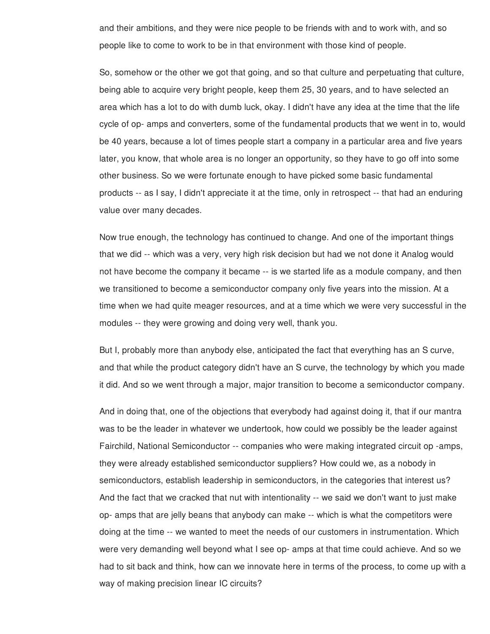and their ambitions, and they were nice people to be friends with and to work with, and so people like to come to work to be in that environment with those kind of people.

So, somehow or the other we got that going, and so that culture and perpetuating that culture, being able to acquire very bright people, keep them 25, 30 years, and to have selected an area which has a lot to do with dumb luck, okay. I didn't have any idea at the time that the life cycle of op- amps and converters, some of the fundamental products that we went in to, would be 40 years, because a lot of times people start a company in a particular area and five years later, you know, that whole area is no longer an opportunity, so they have to go off into some other business. So we were fortunate enough to have picked some basic fundamental products -- as I say, I didn't appreciate it at the time, only in retrospect -- that had an enduring value over many decades.

Now true enough, the technology has continued to change. And one of the important things that we did -- which was a very, very high risk decision but had we not done it Analog would not have become the company it became -- is we started life as a module company, and then we transitioned to become a semiconductor company only five years into the mission. At a time when we had quite meager resources, and at a time which we were very successful in the modules -- they were growing and doing very well, thank you.

But I, probably more than anybody else, anticipated the fact that everything has an S curve, and that while the product category didn't have an S curve, the technology by which you made it did. And so we went through a major, major transition to become a semiconductor company.

And in doing that, one of the objections that everybody had against doing it, that if our mantra was to be the leader in whatever we undertook, how could we possibly be the leader against Fairchild, National Semiconductor -- companies who were making integrated circuit op -amps, they were already established semiconductor suppliers? How could we, as a nobody in semiconductors, establish leadership in semiconductors, in the categories that interest us? And the fact that we cracked that nut with intentionality -- we said we don't want to just make op- amps that are jelly beans that anybody can make -- which is what the competitors were doing at the time -- we wanted to meet the needs of our customers in instrumentation. Which were very demanding well beyond what I see op- amps at that time could achieve. And so we had to sit back and think, how can we innovate here in terms of the process, to come up with a way of making precision linear IC circuits?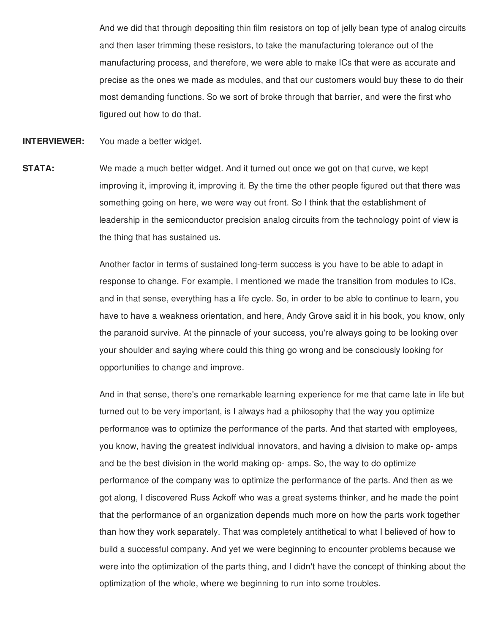And we did that through depositing thin film resistors on top of jelly bean type of analog circuits and then laser trimming these resistors, to take the manufacturing tolerance out of the manufacturing process, and therefore, we were able to make ICs that were as accurate and precise as the ones we made as modules, and that our customers would buy these to do their most demanding functions. So we sort of broke through that barrier, and were the first who figured out how to do that.

**INTERVIEWER:** You made a better widget.

**STATA:** We made a much better widget. And it turned out once we got on that curve, we kept improving it, improving it, improving it. By the time the other people figured out that there was something going on here, we were way out front. So I think that the establishment of leadership in the semiconductor precision analog circuits from the technology point of view is the thing that has sustained us.

> Another factor in terms of sustained long-term success is you have to be able to adapt in response to change. For example, I mentioned we made the transition from modules to ICs, and in that sense, everything has a life cycle. So, in order to be able to continue to learn, you have to have a weakness orientation, and here, Andy Grove said it in his book, you know, only the paranoid survive. At the pinnacle of your success, you're always going to be looking over your shoulder and saying where could this thing go wrong and be consciously looking for opportunities to change and improve.

> And in that sense, there's one remarkable learning experience for me that came late in life but turned out to be very important, is I always had a philosophy that the way you optimize performance was to optimize the performance of the parts. And that started with employees, you know, having the greatest individual innovators, and having a division to make op- amps and be the best division in the world making op- amps. So, the way to do optimize performance of the company was to optimize the performance of the parts. And then as we got along, I discovered Russ Ackoff who was a great systems thinker, and he made the point that the performance of an organization depends much more on how the parts work together than how they work separately. That was completely antithetical to what I believed of how to build a successful company. And yet we were beginning to encounter problems because we were into the optimization of the parts thing, and I didn't have the concept of thinking about the optimization of the whole, where we beginning to run into some troubles.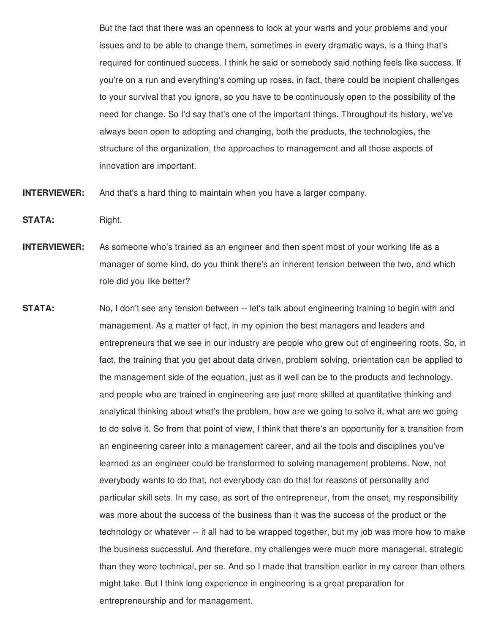But the fact that there was an openness to look at your warts and your problems and your issues and to be able to change them, sometimes in every dramatic ways, is a thing that's required for continued success. I think he said or somebody said nothing feels like success. If you're on a run and everything's coming up roses, in fact, there could be incipient challenges to your survival that you ignore, so you have to be continuously open to the possibility of the need for change. So I'd say that's one of the important things. Throughout its history, we've always been open to adopting and changing, both the products, the technologies, the structure of the organization, the approaches to management and all those aspects of innovation are important.

- **INTERVIEWER:** And that's a hard thing to maintain when you have a larger company.
- STATA: Right.
- **INTERVIEWER:** As someone who's trained as an engineer and then spent most of your working life as a manager of some kind, do you think there's an inherent tension between the two, and which role did you like better?
- **STATA:** No, I don't see any tension between -- let's talk about engineering training to begin with and management. As a matter of fact, in my opinion the best managers and leaders and entrepreneurs that we see in our industry are people who grew out of engineering roots. So, in fact, the training that you get about data driven, problem solving, orientation can be applied to the management side of the equation, just as it well can be to the products and technology, and people who are trained in engineering are just more skilled at quantitative thinking and analytical thinking about what's the problem, how are we going to solve it, what are we going to do solve it. So from that point of view, I think that there's an opportunity for a transition from an engineering career into a management career, and all the tools and disciplines you've learned as an engineer could be transformed to solving management problems. Now, not everybody wants to do that, not everybody can do that for reasons of personality and particular skill sets. In my case, as sort of the entrepreneur, from the onset, my responsibility was more about the success of the business than it was the success of the product or the technology or whatever -- it all had to be wrapped together, but my job was more how to make the business successful. And therefore, my challenges were much more managerial, strategic than they were technical, per se. And so I made that transition earlier in my career than others might take. But I think long experience in engineering is a great preparation for entrepreneurship and for management.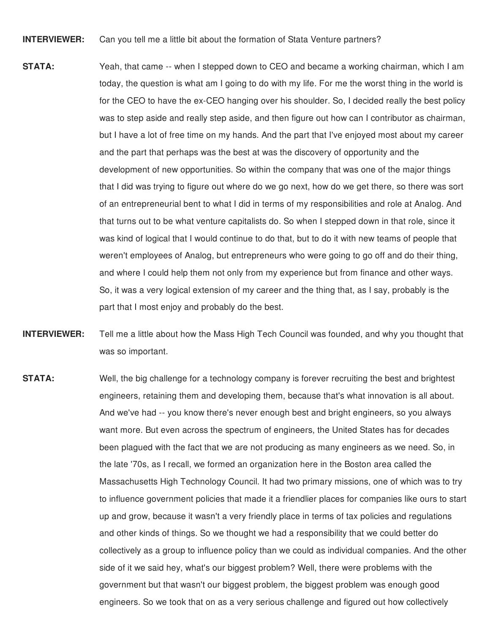**INTERVIEWER:** Can you tell me a little bit about the formation of Stata Venture partners?

- **STATA:** Yeah, that came -- when I stepped down to CEO and became a working chairman, which I am today, the question is what am I going to do with my life. For me the worst thing in the world is for the CEO to have the ex-CEO hanging over his shoulder. So, I decided really the best policy was to step aside and really step aside, and then figure out how can I contributor as chairman, but I have a lot of free time on my hands. And the part that I've enjoyed most about my career and the part that perhaps was the best at was the discovery of opportunity and the development of new opportunities. So within the company that was one of the major things that I did was trying to figure out where do we go next, how do we get there, so there was sort of an entrepreneurial bent to what I did in terms of my responsibilities and role at Analog. And that turns out to be what venture capitalists do. So when I stepped down in that role, since it was kind of logical that I would continue to do that, but to do it with new teams of people that weren't employees of Analog, but entrepreneurs who were going to go off and do their thing, and where I could help them not only from my experience but from finance and other ways. So, it was a very logical extension of my career and the thing that, as I say, probably is the part that I most enjoy and probably do the best.
- **INTERVIEWER:** Tell me a little about how the Mass High Tech Council was founded, and why you thought that was so important.
- **STATA:** Well, the big challenge for a technology company is forever recruiting the best and brightest engineers, retaining them and developing them, because that's what innovation is all about. And we've had -- you know there's never enough best and bright engineers, so you always want more. But even across the spectrum of engineers, the United States has for decades been plagued with the fact that we are not producing as many engineers as we need. So, in the late '70s, as I recall, we formed an organization here in the Boston area called the Massachusetts High Technology Council. It had two primary missions, one of which was to try to influence government policies that made it a friendlier places for companies like ours to start up and grow, because it wasn't a very friendly place in terms of tax policies and regulations and other kinds of things. So we thought we had a responsibility that we could better do collectively as a group to influence policy than we could as individual companies. And the other side of it we said hey, what's our biggest problem? Well, there were problems with the government but that wasn't our biggest problem, the biggest problem was enough good engineers. So we took that on as a very serious challenge and figured out how collectively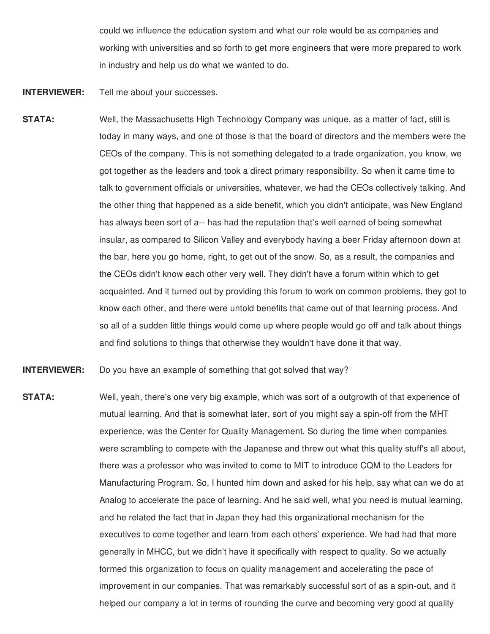could we influence the education system and what our role would be as companies and working with universities and so forth to get more engineers that were more prepared to work in industry and help us do what we wanted to do.

**INTERVIEWER:** Tell me about your successes.

**STATA:** Well, the Massachusetts High Technology Company was unique, as a matter of fact, still is today in many ways, and one of those is that the board of directors and the members were the CEOs of the company. This is not something delegated to a trade organization, you know, we got together as the leaders and took a direct primary responsibility. So when it came time to talk to government officials or universities, whatever, we had the CEOs collectively talking. And the other thing that happened as a side benefit, which you didn't anticipate, was New England has always been sort of a-- has had the reputation that's well earned of being somewhat insular, as compared to Silicon Valley and everybody having a beer Friday afternoon down at the bar, here you go home, right, to get out of the snow. So, as a result, the companies and the CEOs didn't know each other very well. They didn't have a forum within which to get acquainted. And it turned out by providing this forum to work on common problems, they got to know each other, and there were untold benefits that came out of that learning process. And so all of a sudden little things would come up where people would go off and talk about things and find solutions to things that otherwise they wouldn't have done it that way.

**INTERVIEWER:** Do you have an example of something that got solved that way?

**STATA:** Well, yeah, there's one very big example, which was sort of a outgrowth of that experience of mutual learning. And that is somewhat later, sort of you might say a spin-off from the MHT experience, was the Center for Quality Management. So during the time when companies were scrambling to compete with the Japanese and threw out what this quality stuff's all about, there was a professor who was invited to come to MIT to introduce CQM to the Leaders for Manufacturing Program. So, I hunted him down and asked for his help, say what can we do at Analog to accelerate the pace of learning. And he said well, what you need is mutual learning, and he related the fact that in Japan they had this organizational mechanism for the executives to come together and learn from each others' experience. We had had that more generally in MHCC, but we didn't have it specifically with respect to quality. So we actually formed this organization to focus on quality management and accelerating the pace of improvement in our companies. That was remarkably successful sort of as a spin-out, and it helped our company a lot in terms of rounding the curve and becoming very good at quality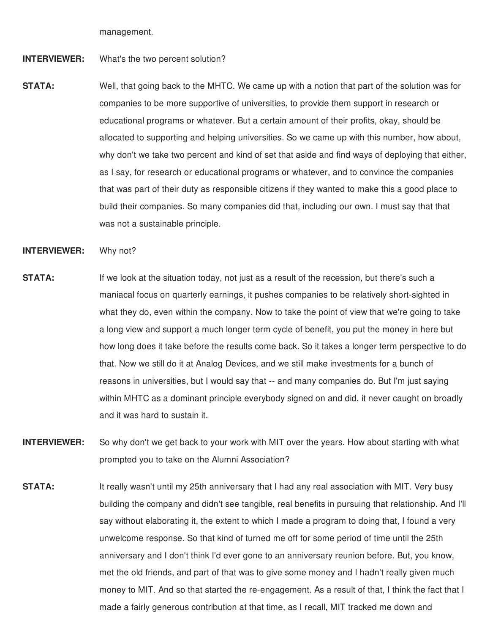management.

## **INTERVIEWER:** What's the two percent solution?

**STATA:** Well, that going back to the MHTC. We came up with a notion that part of the solution was for companies to be more supportive of universities, to provide them support in research or educational programs or whatever. But a certain amount of their profits, okay, should be allocated to supporting and helping universities. So we came up with this number, how about, why don't we take two percent and kind of set that aside and find ways of deploying that either, as I say, for research or educational programs or whatever, and to convince the companies that was part of their duty as responsible citizens if they wanted to make this a good place to build their companies. So many companies did that, including our own. I must say that that was not a sustainable principle.

## **INTERVIEWER:** Why not?

- **STATA:** If we look at the situation today, not just as a result of the recession, but there's such a maniacal focus on quarterly earnings, it pushes companies to be relatively short-sighted in what they do, even within the company. Now to take the point of view that we're going to take a long view and support a much longer term cycle of benefit, you put the money in here but how long does it take before the results come back. So it takes a longer term perspective to do that. Now we still do it at Analog Devices, and we still make investments for a bunch of reasons in universities, but I would say that -- and many companies do. But I'm just saying within MHTC as a dominant principle everybody signed on and did, it never caught on broadly and it was hard to sustain it.
- **INTERVIEWER:** So why don't we get back to your work with MIT over the years. How about starting with what prompted you to take on the Alumni Association?
- **STATA:** It really wasn't until my 25th anniversary that I had any real association with MIT. Very busy building the company and didn't see tangible, real benefits in pursuing that relationship. And I'll say without elaborating it, the extent to which I made a program to doing that, I found a very unwelcome response. So that kind of turned me off for some period of time until the 25th anniversary and I don't think I'd ever gone to an anniversary reunion before. But, you know, met the old friends, and part of that was to give some money and I hadn't really given much money to MIT. And so that started the re-engagement. As a result of that, I think the fact that I made a fairly generous contribution at that time, as I recall, MIT tracked me down and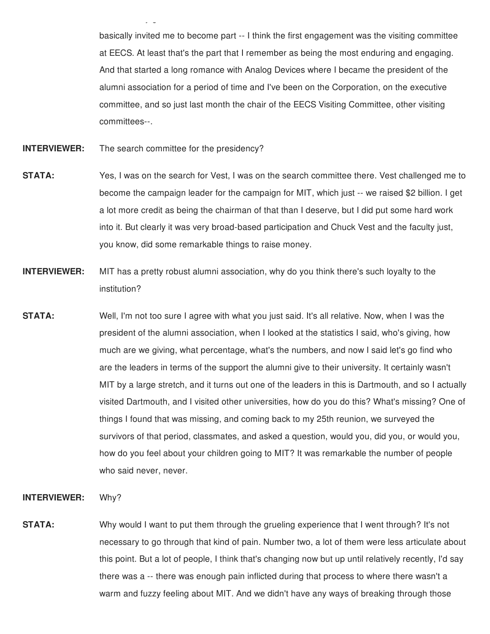basically invited me to become part -- I think the first engagement was the visiting committee at EECS. At least that's the part that I remember as being the most enduring and engaging. And that started a long romance with Analog Devices where I became the president of the alumni association for a period of time and I've been on the Corporation, on the executive committee, and so just last month the chair of the EECS Visiting Committee, other visiting committees--.

made a fairly generous contribution at that time, as I recall, MIT tracked me down and

- **INTERVIEWER:** The search committee for the presidency?
- **STATA:** Yes, I was on the search for Vest, I was on the search committee there. Vest challenged me to become the campaign leader for the campaign for MIT, which just -- we raised \$2 billion. I get a lot more credit as being the chairman of that than I deserve, but I did put some hard work into it. But clearly it was very broad-based participation and Chuck Vest and the faculty just, you know, did some remarkable things to raise money.
- **INTERVIEWER:** MIT has a pretty robust alumni association, why do you think there's such loyalty to the institution?
- **STATA:** Well, I'm not too sure I agree with what you just said. It's all relative. Now, when I was the president of the alumni association, when I looked at the statistics I said, who's giving, how much are we giving, what percentage, what's the numbers, and now I said let's go find who are the leaders in terms of the support the alumni give to their university. It certainly wasn't MIT by a large stretch, and it turns out one of the leaders in this is Dartmouth, and so I actually visited Dartmouth, and I visited other universities, how do you do this? What's missing? One of things I found that was missing, and coming back to my 25th reunion, we surveyed the survivors of that period, classmates, and asked a question, would you, did you, or would you, how do you feel about your children going to MIT? It was remarkable the number of people who said never, never.

## **INTERVIEWER:** Why?

**STATA:** Why would I want to put them through the grueling experience that I went through? It's not necessary to go through that kind of pain. Number two, a lot of them were less articulate about this point. But a lot of people, I think that's changing now but up until relatively recently, I'd say there was a -- there was enough pain inflicted during that process to where there wasn't a warm and fuzzy feeling about MIT. And we didn't have any ways of breaking through those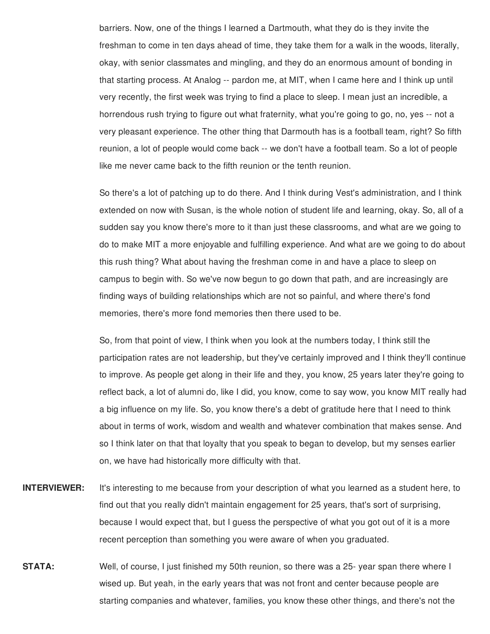barriers. Now, one of the things I learned a Dartmouth, what they do is they invite the freshman to come in ten days ahead of time, they take them for a walk in the woods, literally, okay, with senior classmates and mingling, and they do an enormous amount of bonding in that starting process. At Analog -- pardon me, at MIT, when I came here and I think up until very recently, the first week was trying to find a place to sleep. I mean just an incredible, a horrendous rush trying to figure out what fraternity, what you're going to go, no, yes -- not a very pleasant experience. The other thing that Darmouth has is a football team, right? So fifth reunion, a lot of people would come back -- we don't have a football team. So a lot of people like me never came back to the fifth reunion or the tenth reunion.

So there's a lot of patching up to do there. And I think during Vest's administration, and I think extended on now with Susan, is the whole notion of student life and learning, okay. So, all of a sudden say you know there's more to it than just these classrooms, and what are we going to do to make MIT a more enjoyable and fulfilling experience. And what are we going to do about this rush thing? What about having the freshman come in and have a place to sleep on campus to begin with. So we've now begun to go down that path, and are increasingly are finding ways of building relationships which are not so painful, and where there's fond memories, there's more fond memories then there used to be.

So, from that point of view, I think when you look at the numbers today, I think still the participation rates are not leadership, but they've certainly improved and I think they'll continue to improve. As people get along in their life and they, you know, 25 years later they're going to reflect back, a lot of alumni do, like I did, you know, come to say wow, you know MIT really had a big influence on my life. So, you know there's a debt of gratitude here that I need to think about in terms of work, wisdom and wealth and whatever combination that makes sense. And so I think later on that that loyalty that you speak to began to develop, but my senses earlier on, we have had historically more difficulty with that.

- **INTERVIEWER:** It's interesting to me because from your description of what you learned as a student here, to find out that you really didn't maintain engagement for 25 years, that's sort of surprising, because I would expect that, but I guess the perspective of what you got out of it is a more recent perception than something you were aware of when you graduated.
- **STATA:** Well, of course, I just finished my 50th reunion, so there was a 25- year span there where I wised up. But yeah, in the early years that was not front and center because people are starting companies and whatever, families, you know these other things, and there's not the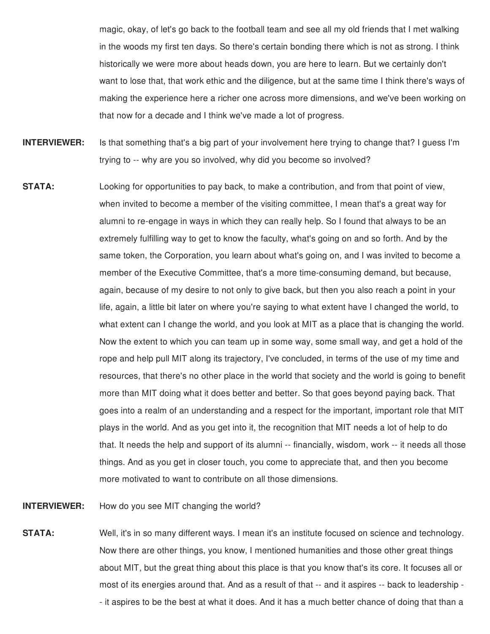magic, okay, of let's go back to the football team and see all my old friends that I met walking in the woods my first ten days. So there's certain bonding there which is not as strong. I think historically we were more about heads down, you are here to learn. But we certainly don't want to lose that, that work ethic and the diligence, but at the same time I think there's ways of making the experience here a richer one across more dimensions, and we've been working on that now for a decade and I think we've made a lot of progress.

- **INTERVIEWER:** Is that something that's a big part of your involvement here trying to change that? I guess I'm trying to -- why are you so involved, why did you become so involved?
- **STATA:** Looking for opportunities to pay back, to make a contribution, and from that point of view, when invited to become a member of the visiting committee, I mean that's a great way for alumni to re-engage in ways in which they can really help. So I found that always to be an extremely fulfilling way to get to know the faculty, what's going on and so forth. And by the same token, the Corporation, you learn about what's going on, and I was invited to become a member of the Executive Committee, that's a more time-consuming demand, but because, again, because of my desire to not only to give back, but then you also reach a point in your life, again, a little bit later on where you're saying to what extent have I changed the world, to what extent can I change the world, and you look at MIT as a place that is changing the world. Now the extent to which you can team up in some way, some small way, and get a hold of the rope and help pull MIT along its trajectory, I've concluded, in terms of the use of my time and resources, that there's no other place in the world that society and the world is going to benefit more than MIT doing what it does better and better. So that goes beyond paying back. That goes into a realm of an understanding and a respect for the important, important role that MIT plays in the world. And as you get into it, the recognition that MIT needs a lot of help to do that. It needs the help and support of its alumni -- financially, wisdom, work -- it needs all those things. And as you get in closer touch, you come to appreciate that, and then you become more motivated to want to contribute on all those dimensions.

## **INTERVIEWER:** How do you see MIT changing the world?

**STATA:** Well, it's in so many different ways. I mean it's an institute focused on science and technology. Now there are other things, you know, I mentioned humanities and those other great things about MIT, but the great thing about this place is that you know that's its core. It focuses all or most of its energies around that. And as a result of that -- and it aspires -- back to leadership - - it aspires to be the best at what it does. And it has a much better chance of doing that than a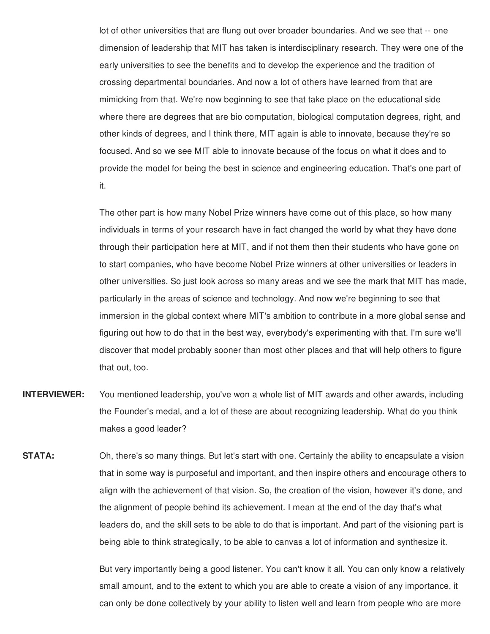lot of other universities that are flung out over broader boundaries. And we see that -- one dimension of leadership that MIT has taken is interdisciplinary research. They were one of the early universities to see the benefits and to develop the experience and the tradition of crossing departmental boundaries. And now a lot of others have learned from that are mimicking from that. We're now beginning to see that take place on the educational side where there are degrees that are bio computation, biological computation degrees, right, and other kinds of degrees, and I think there, MIT again is able to innovate, because they're so focused. And so we see MIT able to innovate because of the focus on what it does and to provide the model for being the best in science and engineering education. That's one part of it.

The other part is how many Nobel Prize winners have come out of this place, so how many individuals in terms of your research have in fact changed the world by what they have done through their participation here at MIT, and if not them then their students who have gone on to start companies, who have become Nobel Prize winners at other universities or leaders in other universities. So just look across so many areas and we see the mark that MIT has made, particularly in the areas of science and technology. And now we're beginning to see that immersion in the global context where MIT's ambition to contribute in a more global sense and figuring out how to do that in the best way, everybody's experimenting with that. I'm sure we'll discover that model probably sooner than most other places and that will help others to figure that out, too.

- **INTERVIEWER:** You mentioned leadership, you've won a whole list of MIT awards and other awards, including the Founder's medal, and a lot of these are about recognizing leadership. What do you think makes a good leader?
- **STATA:** Oh, there's so many things. But let's start with one. Certainly the ability to encapsulate a vision that in some way is purposeful and important, and then inspire others and encourage others to align with the achievement of that vision. So, the creation of the vision, however it's done, and the alignment of people behind its achievement. I mean at the end of the day that's what leaders do, and the skill sets to be able to do that is important. And part of the visioning part is being able to think strategically, to be able to canvas a lot of information and synthesize it.

But very importantly being a good listener. You can't know it all. You can only know a relatively small amount, and to the extent to which you are able to create a vision of any importance, it can only be done collectively by your ability to listen well and learn from people who are more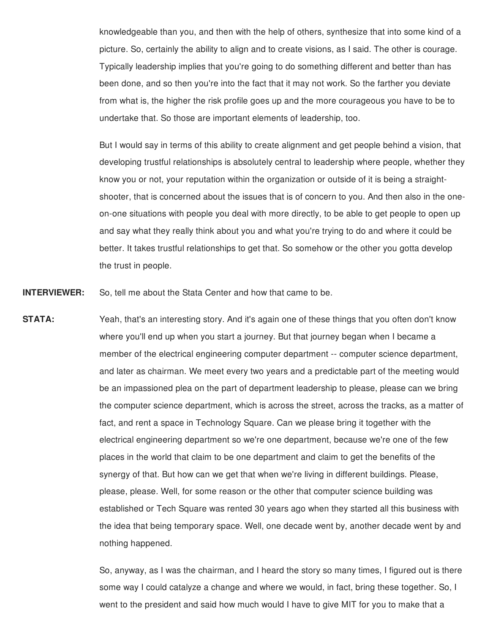knowledgeable than you, and then with the help of others, synthesize that into some kind of a picture. So, certainly the ability to align and to create visions, as I said. The other is courage. Typically leadership implies that you're going to do something different and better than has been done, and so then you're into the fact that it may not work. So the farther you deviate from what is, the higher the risk profile goes up and the more courageous you have to be to undertake that. So those are important elements of leadership, too.

But I would say in terms of this ability to create alignment and get people behind a vision, that developing trustful relationships is absolutely central to leadership where people, whether they know you or not, your reputation within the organization or outside of it is being a straightshooter, that is concerned about the issues that is of concern to you. And then also in the oneon-one situations with people you deal with more directly, to be able to get people to open up and say what they really think about you and what you're trying to do and where it could be better. It takes trustful relationships to get that. So somehow or the other you gotta develop the trust in people.

**INTERVIEWER:** So, tell me about the Stata Center and how that came to be.

**STATA:** Yeah, that's an interesting story. And it's again one of these things that you often don't know where you'll end up when you start a journey. But that journey began when I became a member of the electrical engineering computer department -- computer science department, and later as chairman. We meet every two years and a predictable part of the meeting would be an impassioned plea on the part of department leadership to please, please can we bring the computer science department, which is across the street, across the tracks, as a matter of fact, and rent a space in Technology Square. Can we please bring it together with the electrical engineering department so we're one department, because we're one of the few places in the world that claim to be one department and claim to get the benefits of the synergy of that. But how can we get that when we're living in different buildings. Please, please, please. Well, for some reason or the other that computer science building was established or Tech Square was rented 30 years ago when they started all this business with the idea that being temporary space. Well, one decade went by, another decade went by and nothing happened.

> So, anyway, as I was the chairman, and I heard the story so many times, I figured out is there some way I could catalyze a change and where we would, in fact, bring these together. So, I went to the president and said how much would I have to give MIT for you to make that a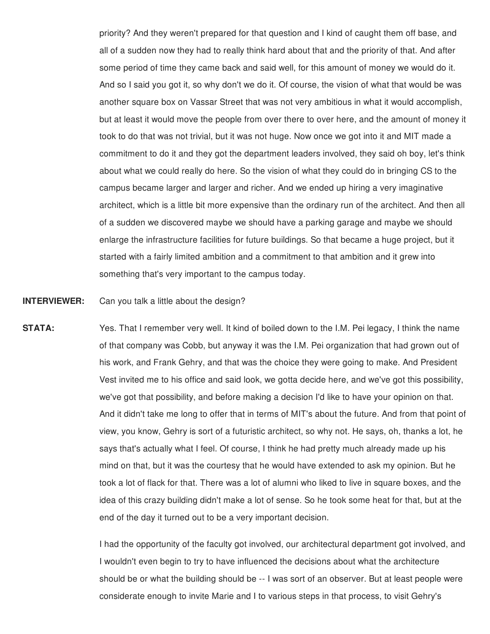priority? And they weren't prepared for that question and I kind of caught them off base, and all of a sudden now they had to really think hard about that and the priority of that. And after some period of time they came back and said well, for this amount of money we would do it. And so I said you got it, so why don't we do it. Of course, the vision of what that would be was another square box on Vassar Street that was not very ambitious in what it would accomplish, but at least it would move the people from over there to over here, and the amount of money it took to do that was not trivial, but it was not huge. Now once we got into it and MIT made a commitment to do it and they got the department leaders involved, they said oh boy, let's think about what we could really do here. So the vision of what they could do in bringing CS to the campus became larger and larger and richer. And we ended up hiring a very imaginative architect, which is a little bit more expensive than the ordinary run of the architect. And then all of a sudden we discovered maybe we should have a parking garage and maybe we should enlarge the infrastructure facilities for future buildings. So that became a huge project, but it started with a fairly limited ambition and a commitment to that ambition and it grew into something that's very important to the campus today.

**INTERVIEWER:** Can you talk a little about the design?

**STATA:** Yes. That I remember very well. It kind of boiled down to the I.M. Pei legacy, I think the name of that company was Cobb, but anyway it was the I.M. Pei organization that had grown out of his work, and Frank Gehry, and that was the choice they were going to make. And President Vest invited me to his office and said look, we gotta decide here, and we've got this possibility, we've got that possibility, and before making a decision I'd like to have your opinion on that. And it didn't take me long to offer that in terms of MIT's about the future. And from that point of view, you know, Gehry is sort of a futuristic architect, so why not. He says, oh, thanks a lot, he says that's actually what I feel. Of course, I think he had pretty much already made up his mind on that, but it was the courtesy that he would have extended to ask my opinion. But he took a lot of flack for that. There was a lot of alumni who liked to live in square boxes, and the idea of this crazy building didn't make a lot of sense. So he took some heat for that, but at the end of the day it turned out to be a very important decision.

> I had the opportunity of the faculty got involved, our architectural department got involved, and I wouldn't even begin to try to have influenced the decisions about what the architecture should be or what the building should be -- I was sort of an observer. But at least people were considerate enough to invite Marie and I to various steps in that process, to visit Gehry's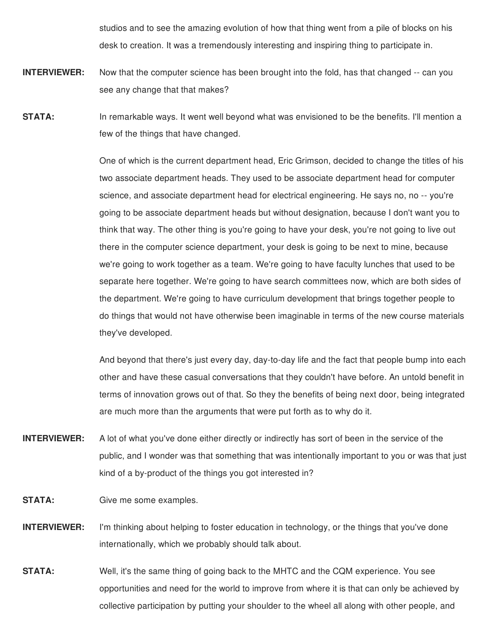studios and to see the amazing evolution of how that thing went from a pile of blocks on his desk to creation. It was a tremendously interesting and inspiring thing to participate in.

- **INTERVIEWER:** Now that the computer science has been brought into the fold, has that changed -- can you see any change that that makes?
- **STATA:** In remarkable ways. It went well beyond what was envisioned to be the benefits. I'll mention a few of the things that have changed.

One of which is the current department head, Eric Grimson, decided to change the titles of his two associate department heads. They used to be associate department head for computer science, and associate department head for electrical engineering. He says no, no -- you're going to be associate department heads but without designation, because I don't want you to think that way. The other thing is you're going to have your desk, you're not going to live out there in the computer science department, your desk is going to be next to mine, because we're going to work together as a team. We're going to have faculty lunches that used to be separate here together. We're going to have search committees now, which are both sides of the department. We're going to have curriculum development that brings together people to do things that would not have otherwise been imaginable in terms of the new course materials they've developed.

And beyond that there's just every day, day-to-day life and the fact that people bump into each other and have these casual conversations that they couldn't have before. An untold benefit in terms of innovation grows out of that. So they the benefits of being next door, being integrated are much more than the arguments that were put forth as to why do it.

- **INTERVIEWER:** A lot of what you've done either directly or indirectly has sort of been in the service of the public, and I wonder was that something that was intentionally important to you or was that just kind of a by-product of the things you got interested in?
- **STATA:** Give me some examples.
- **INTERVIEWER:** I'm thinking about helping to foster education in technology, or the things that you've done internationally, which we probably should talk about.
- **STATA:** Well, it's the same thing of going back to the MHTC and the CQM experience. You see opportunities and need for the world to improve from where it is that can only be achieved by collective participation by putting your shoulder to the wheel all along with other people, and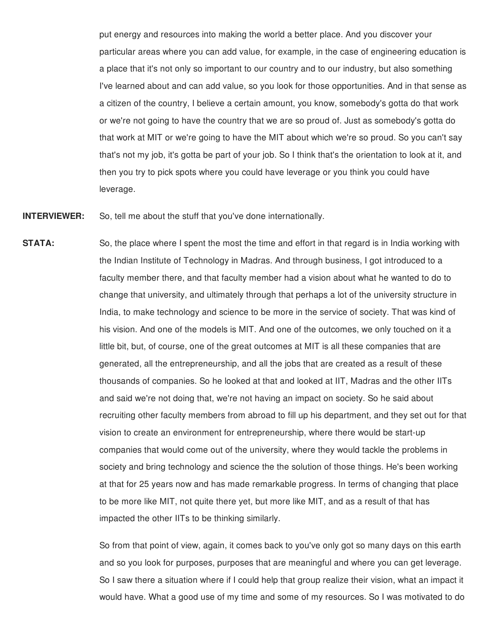put energy and resources into making the world a better place. And you discover your particular areas where you can add value, for example, in the case of engineering education is a place that it's not only so important to our country and to our industry, but also something I've learned about and can add value, so you look for those opportunities. And in that sense as a citizen of the country, I believe a certain amount, you know, somebody's gotta do that work or we're not going to have the country that we are so proud of. Just as somebody's gotta do that work at MIT or we're going to have the MIT about which we're so proud. So you can't say that's not my job, it's gotta be part of your job. So I think that's the orientation to look at it, and then you try to pick spots where you could have leverage or you think you could have leverage.

**INTERVIEWER:** So, tell me about the stuff that you've done internationally.

**STATA:** So, the place where I spent the most the time and effort in that regard is in India working with the Indian Institute of Technology in Madras. And through business, I got introduced to a faculty member there, and that faculty member had a vision about what he wanted to do to change that university, and ultimately through that perhaps a lot of the university structure in India, to make technology and science to be more in the service of society. That was kind of his vision. And one of the models is MIT. And one of the outcomes, we only touched on it a little bit, but, of course, one of the great outcomes at MIT is all these companies that are generated, all the entrepreneurship, and all the jobs that are created as a result of these thousands of companies. So he looked at that and looked at IIT, Madras and the other IITs and said we're not doing that, we're not having an impact on society. So he said about recruiting other faculty members from abroad to fill up his department, and they set out for that vision to create an environment for entrepreneurship, where there would be start-up companies that would come out of the university, where they would tackle the problems in society and bring technology and science the the solution of those things. He's been working at that for 25 years now and has made remarkable progress. In terms of changing that place to be more like MIT, not quite there yet, but more like MIT, and as a result of that has impacted the other IITs to be thinking similarly.

> So from that point of view, again, it comes back to you've only got so many days on this earth and so you look for purposes, purposes that are meaningful and where you can get leverage. So I saw there a situation where if I could help that group realize their vision, what an impact it would have. What a good use of my time and some of my resources. So I was motivated to do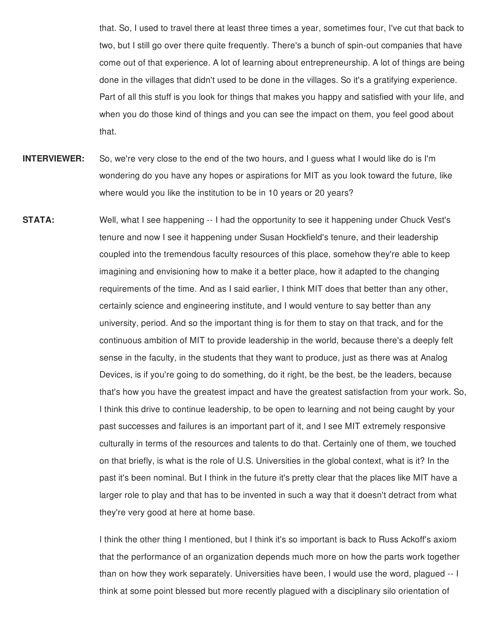that. So, I used to travel there at least three times a year, sometimes four, I've cut that back to two, but I still go over there quite frequently. There's a bunch of spin-out companies that have come out of that experience. A lot of learning about entrepreneurship. A lot of things are being done in the villages that didn't used to be done in the villages. So it's a gratifying experience. Part of all this stuff is you look for things that makes you happy and satisfied with your life, and when you do those kind of things and you can see the impact on them, you feel good about that.

- **INTERVIEWER:** So, we're very close to the end of the two hours, and I guess what I would like do is I'm wondering do you have any hopes or aspirations for MIT as you look toward the future, like where would you like the institution to be in 10 years or 20 years?
- **STATA:** Well, what I see happening -- I had the opportunity to see it happening under Chuck Vest's tenure and now I see it happening under Susan Hockfield's tenure, and their leadership coupled into the tremendous faculty resources of this place, somehow they're able to keep imagining and envisioning how to make it a better place, how it adapted to the changing requirements of the time. And as I said earlier, I think MIT does that better than any other, certainly science and engineering institute, and I would venture to say better than any university, period. And so the important thing is for them to stay on that track, and for the continuous ambition of MIT to provide leadership in the world, because there's a deeply felt sense in the faculty, in the students that they want to produce, just as there was at Analog Devices, is if you're going to do something, do it right, be the best, be the leaders, because that's how you have the greatest impact and have the greatest satisfaction from your work. So, I think this drive to continue leadership, to be open to learning and not being caught by your past successes and failures is an important part of it, and I see MIT extremely responsive culturally in terms of the resources and talents to do that. Certainly one of them, we touched on that briefly, is what is the role of U.S. Universities in the global context, what is it? In the past it's been nominal. But I think in the future it's pretty clear that the places like MIT have a larger role to play and that has to be invented in such a way that it doesn't detract from what they're very good at here at home base.

I think the other thing I mentioned, but I think it's so important is back to Russ Ackoff's axiom that the performance of an organization depends much more on how the parts work together than on how they work separately. Universities have been, I would use the word, plagued -- I think at some point blessed but more recently plagued with a disciplinary silo orientation of